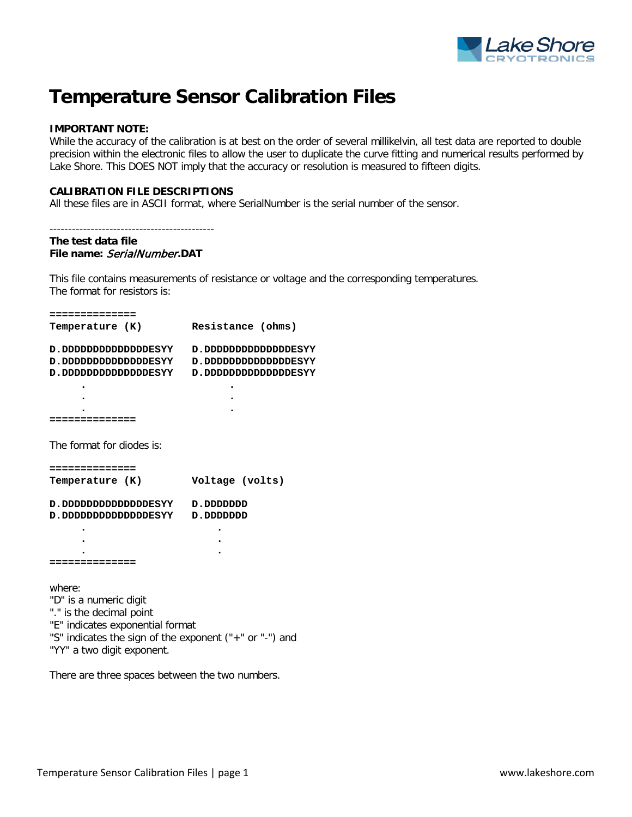

# **Temperature Sensor Calibration Files**

## **IMPORTANT NOTE:**

While the accuracy of the calibration is at best on the order of several millikelvin, all test data are reported to double precision within the electronic files to allow the user to duplicate the curve fitting and numerical results performed by Lake Shore. This DOES NOT imply that the accuracy or resolution is measured to fifteen digits.

## **CALIBRATION FILE DESCRIPTIONS**

All these files are in ASCII format, where SerialNumber is the serial number of the sensor.

```
--------------------------------------------
```
### **The test data file File name:** SerialNumber**.DAT**

This file contains measurements of resistance or voltage and the corresponding temperatures. The format for resistors is:

| :=============                                                                                                                                                                            |                     |
|-------------------------------------------------------------------------------------------------------------------------------------------------------------------------------------------|---------------------|
| Temperature (K)                                                                                                                                                                           | Resistance (ohms)   |
| D.DDDDDDDDDDDDDESYY                                                                                                                                                                       | D.DDDDDDDDDDDDDESYY |
| D.DOOOOOOOOOOOOOESYY                                                                                                                                                                      | D.ODDDOODDOODDESYY  |
|                                                                                                                                                                                           |                     |
| D.DODOOOOOOOOOODESYY                                                                                                                                                                      | D.ODDDOODDOODDESYY  |
|                                                                                                                                                                                           |                     |
|                                                                                                                                                                                           |                     |
|                                                                                                                                                                                           |                     |
|                                                                                                                                                                                           |                     |
| The format for diodes is:                                                                                                                                                                 |                     |
| ==============                                                                                                                                                                            |                     |
| Temperature (K)                                                                                                                                                                           | Voltage (volts)     |
| D.ODDDOODDOODDDESYY                                                                                                                                                                       | ספספספס. <i>ס</i>   |
| D.DDDDDDDDDDDDDESYY                                                                                                                                                                       | ספספספס. <i>ס</i>   |
|                                                                                                                                                                                           |                     |
|                                                                                                                                                                                           |                     |
|                                                                                                                                                                                           |                     |
|                                                                                                                                                                                           |                     |
| where:<br>"D" is a numeric digit<br>"." is the decimal point<br>"E" indicates exponential format<br>"S" indicates the sign of the exponent ("+" or "-") and<br>"YY" a two digit exponent. |                     |
|                                                                                                                                                                                           |                     |

There are three spaces between the two numbers.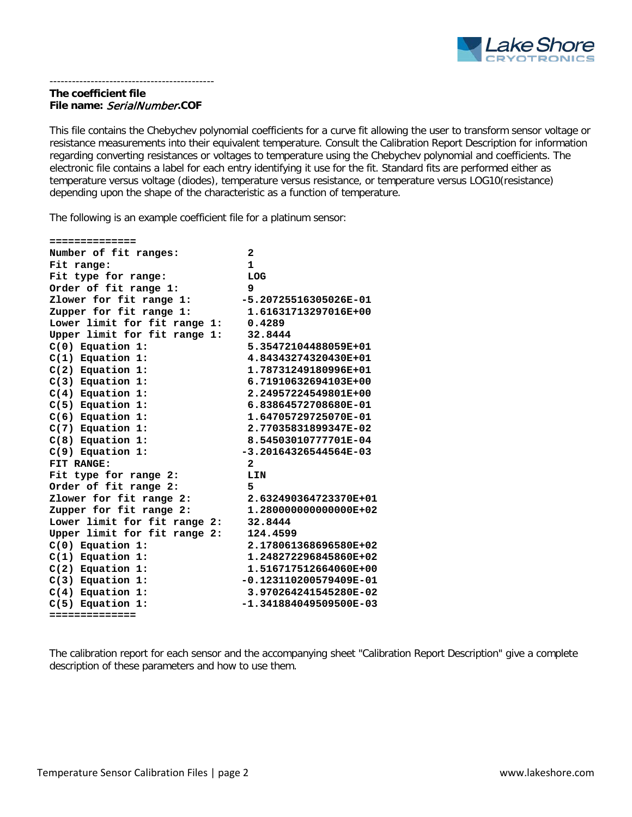

# **The coefficient file File name:** SerialNumber**.COF**

--------------------------------------------

This file contains the Chebychev polynomial coefficients for a curve fit allowing the user to transform sensor voltage or resistance measurements into their equivalent temperature. Consult the Calibration Report Description for information regarding converting resistances or voltages to temperature using the Chebychev polynomial and coefficients. The electronic file contains a label for each entry identifying it use for the fit. Standard fits are performed either as temperature versus voltage (diodes), temperature versus resistance, or temperature versus LOG10(resistance) depending upon the shape of the characteristic as a function of temperature.

The following is an example coefficient file for a platinum sensor:

| ==============               |                          |
|------------------------------|--------------------------|
| Number of fit ranges:        | $\mathbf{z}$             |
| Fit range:                   | $\mathbf{1}$             |
| Fit type for range:          | LOG                      |
| Order of fit range 1:        | 9                        |
| Zlower for fit range 1:      | -5.20725516305026E-01    |
| Zupper for fit range 1:      | 1.61631713297016E+00     |
| Lower limit for fit range 1: | 0.4289                   |
| Upper limit for fit range 1: | 32.8444                  |
| $C(0)$ Equation 1:           | 5.35472104488059E+01     |
| $C(1)$ Equation 1:           | 4.84343274320430E+01     |
| $C(2)$ Equation 1:           | 1.78731249180996E+01     |
| $C(3)$ Equation 1:           | 6.71910632694103E+00     |
| $C(4)$ Equation 1:           | 2.24957224549801E+00     |
| $C(5)$ Equation 1:           | 6.83864572708680E-01     |
| $C(6)$ Equation 1:           | 1.64705729725070E-01     |
| $C(7)$ Equation 1:           | 2.77035831899347E-02     |
| $C(8)$ Equation 1:           | 8.54503010777701E-04     |
| $C(9)$ Equation 1:           | $-3.20164326544564E-03$  |
| FIT RANGE:                   | $\mathbf{2}$             |
| Fit type for range 2:        | LIN                      |
| Order of fit range 2:        | 5                        |
| Zlower for fit range 2:      | 2.632490364723370E+01    |
| Zupper for fit range 2:      | 1.28000000000000E+02     |
| Lower limit for fit range 2: | 32.8444                  |
| Upper limit for fit range 2: | 124.4599                 |
| $C(0)$ Equation 1:           | 2.178061368696580E+02    |
| $C(1)$ Equation 1:           | 1.248272296845860E+02    |
| $C(2)$ Equation 1:           | 1.516717512664060E+00    |
| $C(3)$ Equation 1:           | $-0.123110200579409E-01$ |
| $C(4)$ Equation 1:           | 3.970264241545280E-02    |
| $C(5)$ Equation 1:           | $-1.341884049509500E-03$ |
| ==============               |                          |

The calibration report for each sensor and the accompanying sheet "Calibration Report Description" give a complete description of these parameters and how to use them.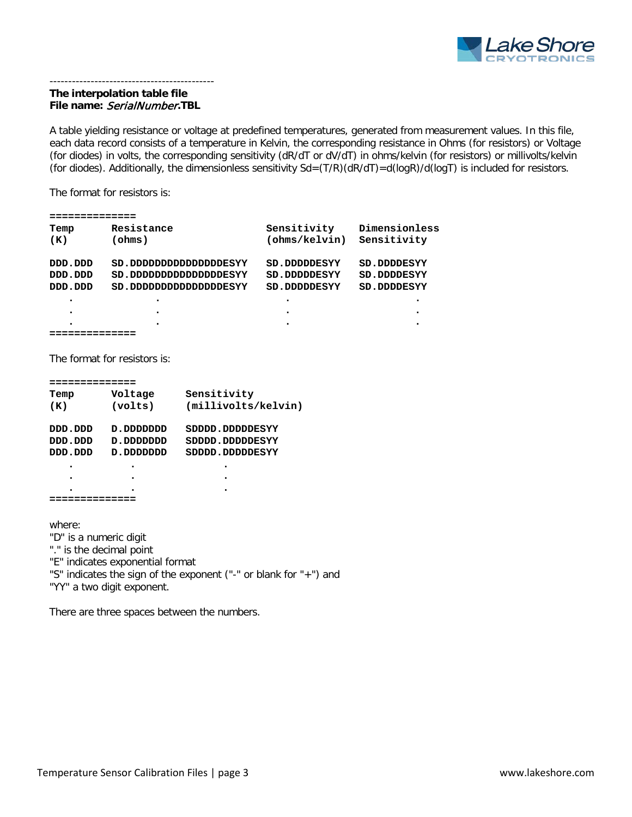

# **The interpolation table file File name:** SerialNumber**.TBL**

--------------------------------------------

A table yielding resistance or voltage at predefined temperatures, generated from measurement values. In this file, each data record consists of a temperature in Kelvin, the corresponding resistance in Ohms (for resistors) or Voltage (for diodes) in volts, the corresponding sensitivity (dR/dT or dV/dT) in ohms/kelvin (for resistors) or millivolts/kelvin (for diodes). Additionally, the dimensionless sensitivity  $Sd=(T/R)(dR/dT)=d(logR)/d(logT)$  is included for resistors.

The format for resistors is:

| Temp      | Resistance           | Sensitivity         | Dimensionless      |
|-----------|----------------------|---------------------|--------------------|
| (K)       | (ohms)               | (ohns/kelvin)       | Sensitivity        |
|           |                      |                     |                    |
| DDD.DDD   | SD.DDDDDDDDDDDDESYY  | <b>SD.DDDDDESYY</b> | <b>SD.DDDDESYY</b> |
| DDD.DDD   | SD.DDDDDDDDDDDDDESYY | <b>SD.DDDDDESYY</b> | <b>SD.DDDDESYY</b> |
| ספת. ספת  | SD.DDDDDDDDDDDDDESYY | <b>SD.DDDDDESYY</b> | <b>SD.DDDDESYY</b> |
| $\bullet$ | ٠                    |                     |                    |
| $\bullet$ | $\bullet$            |                     |                    |
| ٠         |                      |                     |                    |

```
==============
```
The format for resistors is:

| Temp      | Voltage     | Sensitivity         |  |
|-----------|-------------|---------------------|--|
| (K)       | (volts)     | (millivolts/kelvin) |  |
| ספס. ספס  | סמסמסמם . מ | SDDDD.DDDDDESYY     |  |
| סמס. סמס  | D.DDDDDDDD  | SDDDD.DDDDDESYY     |  |
| סמם . סממ | סמסמסמם . מ | SDDDD. OOODESYY     |  |
|           |             |                     |  |
| ٠         | ۰           | ٠                   |  |
|           |             |                     |  |
|           |             |                     |  |

where:

"D" is a numeric digit

"." is the decimal point

"E" indicates exponential format

"S" indicates the sign of the exponent ("-" or blank for "+") and

"YY" a two digit exponent.

There are three spaces between the numbers.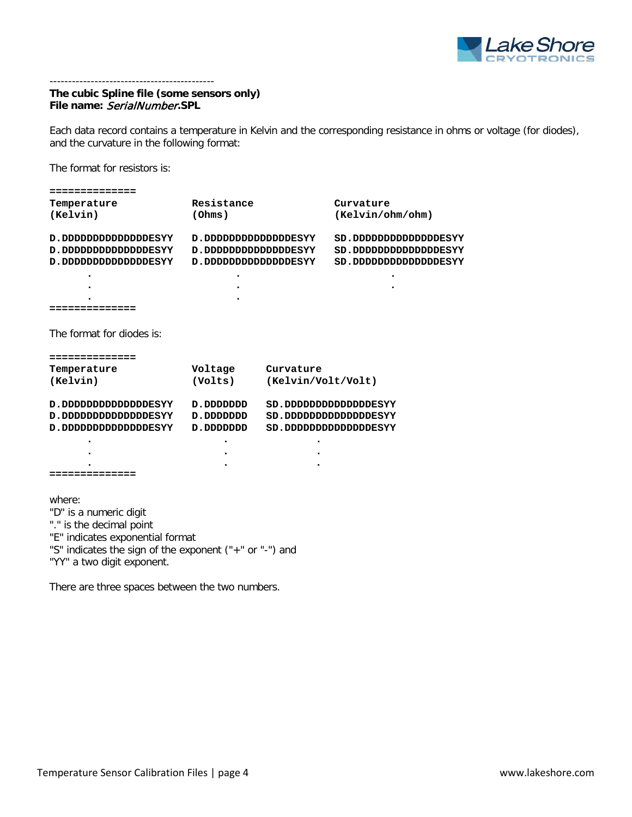

# **The cubic Spline file (some sensors only) File name:** SerialNumber**.SPL**

--------------------------------------------

Each data record contains a temperature in Kelvin and the corresponding resistance in ohms or voltage (for diodes), and the curvature in the following format:

The format for resistors is:

| ==============                                          |                     |                    |                      |
|---------------------------------------------------------|---------------------|--------------------|----------------------|
| Temperature                                             | Resistance          |                    | Curvature            |
| (Kelvin)                                                | (Ohms)              |                    | (Kelvin/ohm/ohm)     |
|                                                         |                     |                    |                      |
| D.DDDDDDDDDDDDDESYY                                     | D.DDDDDDDDDDDDDESYY |                    | SD.DDDDDDDDDDDDDESYY |
| D.DDDDDDDDDDDDDESYY                                     | D.DDDDDDDDDDDDDESYY |                    | SD.DDDDDDDDDDDDDESYY |
| D.DDDDDDDDDDDDDESYY                                     | D.DDDDDDDDDDDDDESYY |                    | SD.DDDDDDDDDDDDDESYY |
|                                                         |                     |                    |                      |
|                                                         |                     |                    |                      |
|                                                         |                     |                    |                      |
| .===========                                            |                     |                    |                      |
|                                                         |                     |                    |                      |
| The format for diodes is:                               |                     |                    |                      |
|                                                         |                     |                    |                      |
| :=============                                          |                     |                    |                      |
| Temperature                                             | Voltage             | Curvature          |                      |
| (Kelvin)                                                | (Volts)             | (Kelvin/Volt/Volt) |                      |
|                                                         |                     |                    |                      |
| D.DDDDDDDDDDDDDESYY                                     | D.DDDDDDDD          |                    | SD.DDDDDDDDDDDDDESYY |
| D.DDDDDDDDDDDDDESYY                                     | D.DDDDDDDD          |                    | SD.DDDDDDDDDDDDDESYY |
| D.DDDDDDDDDDDDDESYY                                     | D.DDDDDDDD          |                    | SD.DDDDDDDDDDDDDESYY |
|                                                         |                     |                    |                      |
|                                                         |                     |                    |                      |
|                                                         |                     |                    |                      |
| =============                                           |                     |                    |                      |
|                                                         |                     |                    |                      |
| where:                                                  |                     |                    |                      |
|                                                         |                     |                    |                      |
| "D" is a numeric digit                                  |                     |                    |                      |
| "." is the decimal point                                |                     |                    |                      |
| "E" indicates exponential format                        |                     |                    |                      |
| "S" indicates the sign of the exponent ("+" or "-") and |                     |                    |                      |
| "YY" a two digit exponent.                              |                     |                    |                      |

There are three spaces between the two numbers.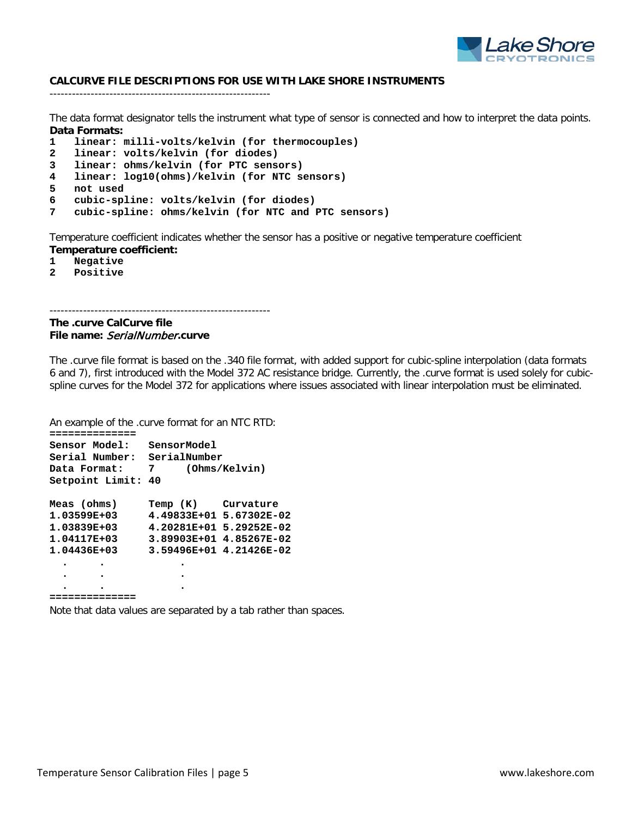

## **CALCURVE FILE DESCRIPTIONS FOR USE WITH LAKE SHORE INSTRUMENTS**

-----------------------------------------------------------

The data format designator tells the instrument what type of sensor is connected and how to interpret the data points. **Data Formats:**

- **1 linear: milli-volts/kelvin (for thermocouples)**
- **2 linear: volts/kelvin (for diodes)**
- **3 linear: ohms/kelvin (for PTC sensors)**
- **4 linear: log10(ohms)/kelvin (for NTC sensors)**
- **5 not used**
- **6 cubic-spline: volts/kelvin (for diodes)**
- **7 cubic-spline: ohms/kelvin (for NTC and PTC sensors)**

Temperature coefficient indicates whether the sensor has a positive or negative temperature coefficient **Temperature coefficient:**

- **1 Negative**
- **2 Positive**

**The .curve CalCurve file File name:** SerialNumber**.curve**

-----------------------------------------------------------

The .curve file format is based on the .340 file format, with added support for cubic-spline interpolation (data formats 6 and 7), first introduced with the Model 372 AC resistance bridge. Currently, the .curve format is used solely for cubicspline curves for the Model 372 for applications where issues associated with linear interpolation must be eliminated.

An example of the .curve format for an NTC RTD:

| Sensor Model:               | SensorModel        |                         |  |
|-----------------------------|--------------------|-------------------------|--|
| Serial Number: SerialNumber |                    |                         |  |
| Data Format:                | (Ohms/Kelvin)<br>7 |                         |  |
| Setpoint Limit: 40          |                    |                         |  |
| Meas (ohms)                 | Temp (K) Curvature |                         |  |
| 1.03599E+03                 |                    | 4.49833E+01 5.67302E-02 |  |
| 1.03839E+03                 |                    | 4.20281E+01 5.29252E-02 |  |
| 1.04117E+03                 |                    | 3.89903E+01 4.85267E-02 |  |
| $1.04436E + 03$             |                    | 3.59496E+01 4.21426E-02 |  |
|                             |                    |                         |  |
|                             |                    |                         |  |
|                             |                    |                         |  |
| ;=============              |                    |                         |  |

Note that data values are separated by a tab rather than spaces.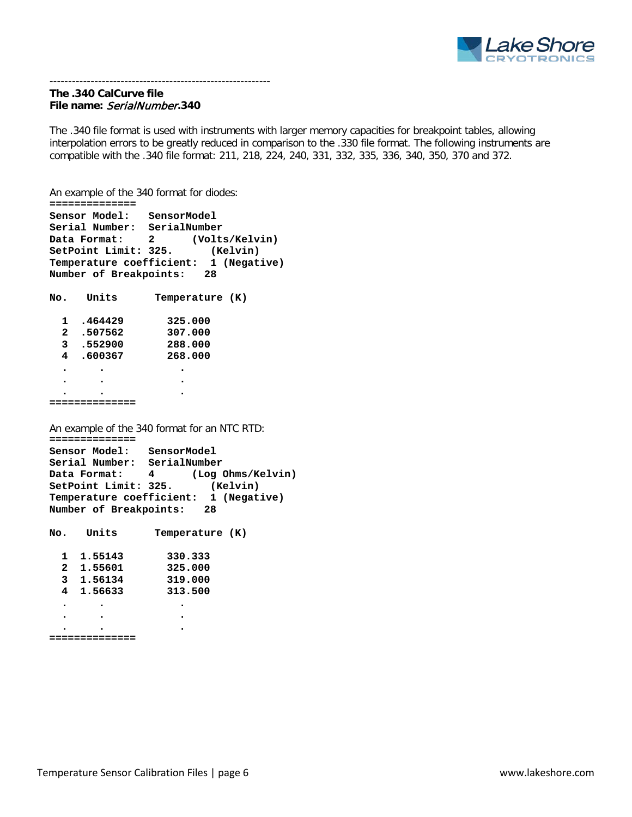

#### ----------------------------------------------------------- **The .340 CalCurve file File name:** SerialNumber**.340**

The .340 file format is used with instruments with larger memory capacities for breakpoint tables, allowing interpolation errors to be greatly reduced in comparison to the .330 file format. The following instruments are compatible with the .340 file format: 211, 218, 224, 240, 331, 332, 335, 336, 340, 350, 370 and 372.

An example of the 340 format for diodes:

```
==============
Sensor Model: SensorModel
Serial Number: SerialNumber
            2 (Volts/Kelvin)<br>Bata Format: 325. (Kelvin)
SetPoint Limit: 325.
Temperature coefficient: 1 (Negative)
Number of Breakpoints: 28
No. Units Temperature (K)
  1 .464429 325.000
  2 .507562 307.000
 3 .552900 288.000
 4 .600367 268.000
  . . .
  . . .
  . . .
==============
An example of the 340 format for an NTC RTD:
==============
Sensor Model: SensorModel
Serial Number: SerialNumber
Data Format: 4 (Log Ohms/Kelvin)
SetPoint Limit: 325. (Kelvin)
Temperature coefficient: 1 (Negative)
Number of Breakpoints: 28
No. Units Temperature (K)
 1 1.55143 330.333
 2 1.55601 325.000
  3 1.56134 319.000
  4 1.56633 313.500
 . . .
  . . .
  . . .
==============
```